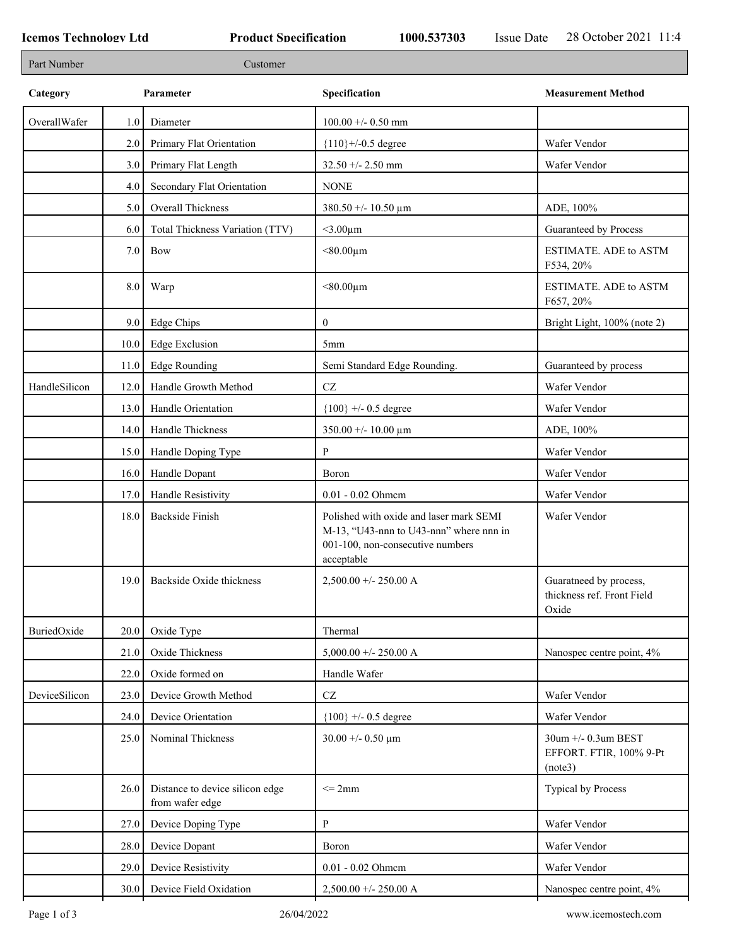| Part Number   |           | Customer                                           |                                                                                                                                      |                                                               |
|---------------|-----------|----------------------------------------------------|--------------------------------------------------------------------------------------------------------------------------------------|---------------------------------------------------------------|
| Category      | Parameter |                                                    | Specification                                                                                                                        | <b>Measurement Method</b>                                     |
| OverallWafer  | 1.0       | Diameter                                           | $100.00 + - 0.50$ mm                                                                                                                 |                                                               |
|               | 2.0       | Primary Flat Orientation                           | ${110}$ +/-0.5 degree                                                                                                                | Wafer Vendor                                                  |
|               | 3.0       | Primary Flat Length                                | $32.50 + - 2.50$ mm                                                                                                                  | Wafer Vendor                                                  |
|               | 4.0       | Secondary Flat Orientation                         | <b>NONE</b>                                                                                                                          |                                                               |
|               | 5.0       | Overall Thickness                                  | 380.50 +/- 10.50 $\mu$ m                                                                                                             | ADE, 100%                                                     |
|               | 6.0       | Total Thickness Variation (TTV)                    | $<$ 3.00 $\mu$ m                                                                                                                     | Guaranteed by Process                                         |
|               | 7.0       | Bow                                                | $< 80.00 \mu m$                                                                                                                      | <b>ESTIMATE. ADE to ASTM</b><br>F534, 20%                     |
|               | 8.0       | Warp                                               | $< 80.00 \mu m$                                                                                                                      | <b>ESTIMATE. ADE to ASTM</b><br>F657, 20%                     |
|               | 9.0       | Edge Chips                                         | $\boldsymbol{0}$                                                                                                                     | Bright Light, 100% (note 2)                                   |
|               | 10.0      | <b>Edge Exclusion</b>                              | 5 <sub>mm</sub>                                                                                                                      |                                                               |
|               | 11.0      | <b>Edge Rounding</b>                               | Semi Standard Edge Rounding.                                                                                                         | Guaranteed by process                                         |
| HandleSilicon | 12.0      | Handle Growth Method                               | $\operatorname{CZ}$                                                                                                                  | Wafer Vendor                                                  |
|               | 13.0      | Handle Orientation                                 | ${100}$ +/- 0.5 degree                                                                                                               | Wafer Vendor                                                  |
|               | 14.0      | Handle Thickness                                   | $350.00 + - 10.00 \mu m$                                                                                                             | ADE, 100%                                                     |
|               | 15.0      | Handle Doping Type                                 | P                                                                                                                                    | Wafer Vendor                                                  |
|               | 16.0      | Handle Dopant                                      | Boron                                                                                                                                | Wafer Vendor                                                  |
|               | 17.0      | Handle Resistivity                                 | 0.01 - 0.02 Ohmem                                                                                                                    | Wafer Vendor                                                  |
|               | 18.0      | <b>Backside Finish</b>                             | Polished with oxide and laser mark SEMI<br>M-13, "U43-nnn to U43-nnn" where nnn in<br>001-100, non-consecutive numbers<br>acceptable | Wafer Vendor                                                  |
|               | 19.0      | Backside Oxide thickness                           | $2,500.00 + - 250.00 A$                                                                                                              | Guaratneed by process,<br>thickness ref. Front Field<br>Oxide |
| BuriedOxide   | 20.0      | Oxide Type                                         | Thermal                                                                                                                              |                                                               |
|               | 21.0      | Oxide Thickness                                    | $5,000.00 +/- 250.00 A$                                                                                                              | Nanospec centre point, 4%                                     |
|               | 22.0      | Oxide formed on                                    | Handle Wafer                                                                                                                         |                                                               |
| DeviceSilicon | 23.0      | Device Growth Method                               | $\operatorname{CZ}$                                                                                                                  | Wafer Vendor                                                  |
|               | 24.0      | Device Orientation                                 | ${100}$ +/- 0.5 degree                                                                                                               | Wafer Vendor                                                  |
|               | 25.0      | Nominal Thickness                                  | $30.00 + - 0.50 \mu m$                                                                                                               | 30um +/- 0.3um BEST<br>EFFORT. FTIR, 100% 9-Pt<br>(note3)     |
|               | 26.0      | Distance to device silicon edge<br>from wafer edge | $\leq$ 2mm                                                                                                                           | Typical by Process                                            |
|               | 27.0      | Device Doping Type                                 | P                                                                                                                                    | Wafer Vendor                                                  |
|               | 28.0      | Device Dopant                                      | Boron                                                                                                                                | Wafer Vendor                                                  |
|               | 29.0      | Device Resistivity                                 | 0.01 - 0.02 Ohmem                                                                                                                    | Wafer Vendor                                                  |
|               | 30.0      | Device Field Oxidation                             | $2,500.00 +/- 250.00 A$                                                                                                              | Nanospec centre point, 4%                                     |
|               |           |                                                    |                                                                                                                                      |                                                               |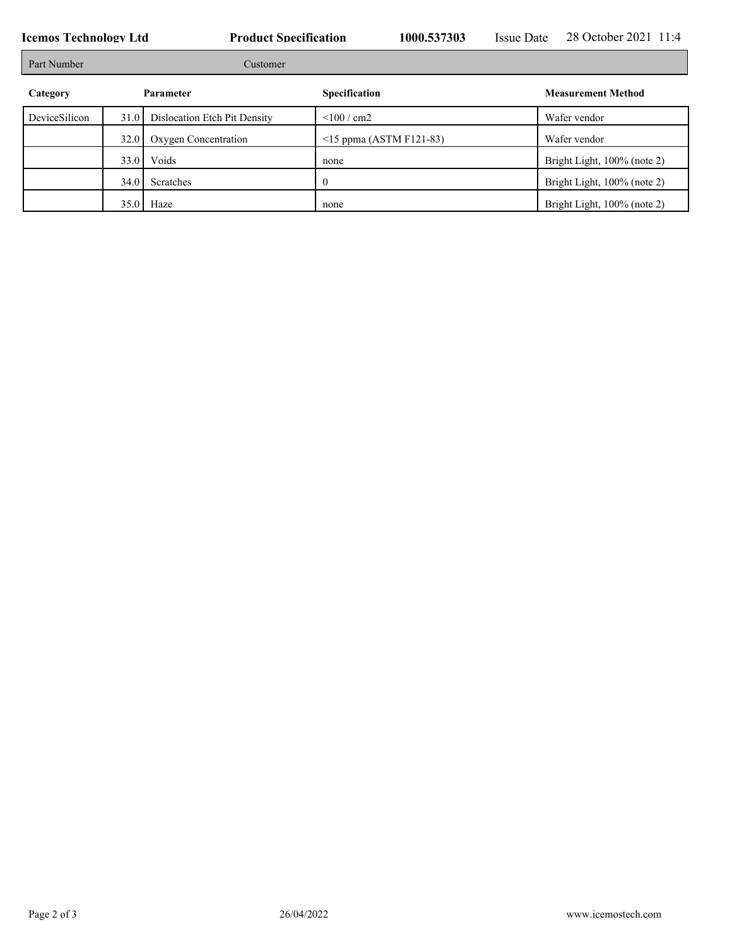| <b>Icemos Technology Ltd</b> |          |                              | <b>Product Specification</b> |                              | <b>Issue Date</b> | 28 October 2021 11:4        |
|------------------------------|----------|------------------------------|------------------------------|------------------------------|-------------------|-----------------------------|
| Part Number                  | Customer |                              |                              |                              |                   |                             |
| Category                     |          | Parameter                    | <b>Specification</b>         |                              |                   | <b>Measurement Method</b>   |
| DeviceSilicon                | 31.0     | Dislocation Etch Pit Density | $<$ 100 / cm2                |                              |                   | Wafer vendor                |
|                              | 32.0     | Oxygen Concentration         |                              | $\le$ 15 ppma (ASTM F121-83) |                   | Wafer vendor                |
|                              | 33.0     | Voids                        | none                         |                              |                   | Bright Light, 100% (note 2) |
|                              | 34.0     | Scratches                    | U                            |                              |                   | Bright Light, 100% (note 2) |
|                              | 35.0     | Haze                         | none                         |                              |                   | Bright Light, 100% (note 2) |